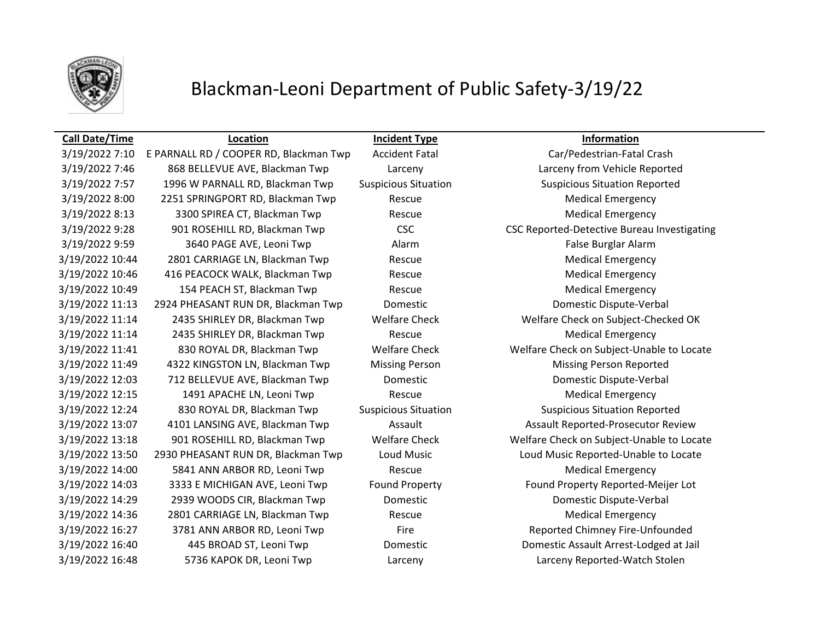

# Blackman-Leoni Department of Public Safety-3/19/22

### **Call Date/Time Location Incident Type Information** 3/19/2022 7:10 E PARNALL RD / COOPER RD, Blackman Twp Accident Fatal Car/Pedestrian-Fatal Crash 3/19/2022 7:46 868 BELLEVUE AVE, Blackman Twp Larceny Larceny from Vehicle Reported 3/19/2022 7:57 1996 W PARNALL RD, Blackman Twp Suspicious Situation Suspicious Situation Reported 3/19/2022 8:00 2251 SPRINGPORT RD, Blackman Twp Rescue Medical Emergency 3/19/2022 8:13 3300 SPIREA CT, Blackman Twp Rescue Medical Emergency 3/19/2022 9:59 3640 PAGE AVE, Leoni Twp Alarm Alarm Alarm False Burglar Alarm 3/19/2022 10:44 2801 CARRIAGE LN, Blackman Twp Rescue Medical Emergency 3/19/2022 10:46 416 PEACOCK WALK, Blackman Twp Rescue Medical Emergency 3/19/2022 10:49 154 PEACH ST, Blackman Twp Rescue Medical Emergency 3/19/2022 11:13 2924 PHEASANT RUN DR, Blackman Twp Domestic Domestic Dispute-Verbal 3/19/2022 11:14 2435 SHIRLEY DR, Blackman Twp Rescue Medical Emergency 3/19/2022 11:49 4322 KINGSTON LN, Blackman Twp Missing Person Missing Person Reported 3/19/2022 12:03 712 BELLEVUE AVE, Blackman Twp Domestic Domestic Dispute-Verbal 3/19/2022 12:15 1491 APACHE LN, Leoni Twp Rescue Rescue Medical Emergency 3/19/2022 12:24 830 ROYAL DR, Blackman Twp Suspicious Situation Suspicious Situation Reported 3/19/2022 14:00 5841 ANN ARBOR RD, Leoni Twp Rescue Medical Emergency 3/19/2022 14:29 2939 WOODS CIR, Blackman Twp Domestic Domestic Dispute-Verbal 3/19/2022 14:36 2801 CARRIAGE LN, Blackman Twp Rescue Medical Emergency 3/19/2022 16:27 3781 ANN ARBOR RD, Leoni Twp Fire Fire Reported Chimney Fire-Unfounded

3/19/2022 9:28 901 ROSEHILL RD, Blackman Twp CSC CSC CSC CSC Reported-Detective Bureau Investigating 3/19/2022 11:14 2435 SHIRLEY DR, Blackman Twp Welfare Check Welfare Check on Subject-Checked OK 3/19/2022 11:41 830 ROYAL DR, Blackman Twp Welfare Check Welfare Check on Subject-Unable to Locate 3/19/2022 13:07 4101 LANSING AVE, Blackman Twp Assault Assault Assault Reported-Prosecutor Review 3/19/2022 13:18 901 ROSEHILL RD, Blackman Twp Welfare Check Welfare Check on Subject-Unable to Locate 3/19/2022 13:50 2930 PHEASANT RUN DR, Blackman Twp Loud Music Loud Music Reported-Unable to Locate 3/19/2022 14:03 3333 E MICHIGAN AVE, Leoni Twp Found Property Found Property Reported-Meijer Lot 3/19/2022 16:40 445 BROAD ST, Leoni Twp Domestic Domestic Assault Arrest-Lodged at Jail 3/19/2022 16:48 5736 KAPOK DR, Leoni Twp Larceny Larceny Reported-Watch Stolen